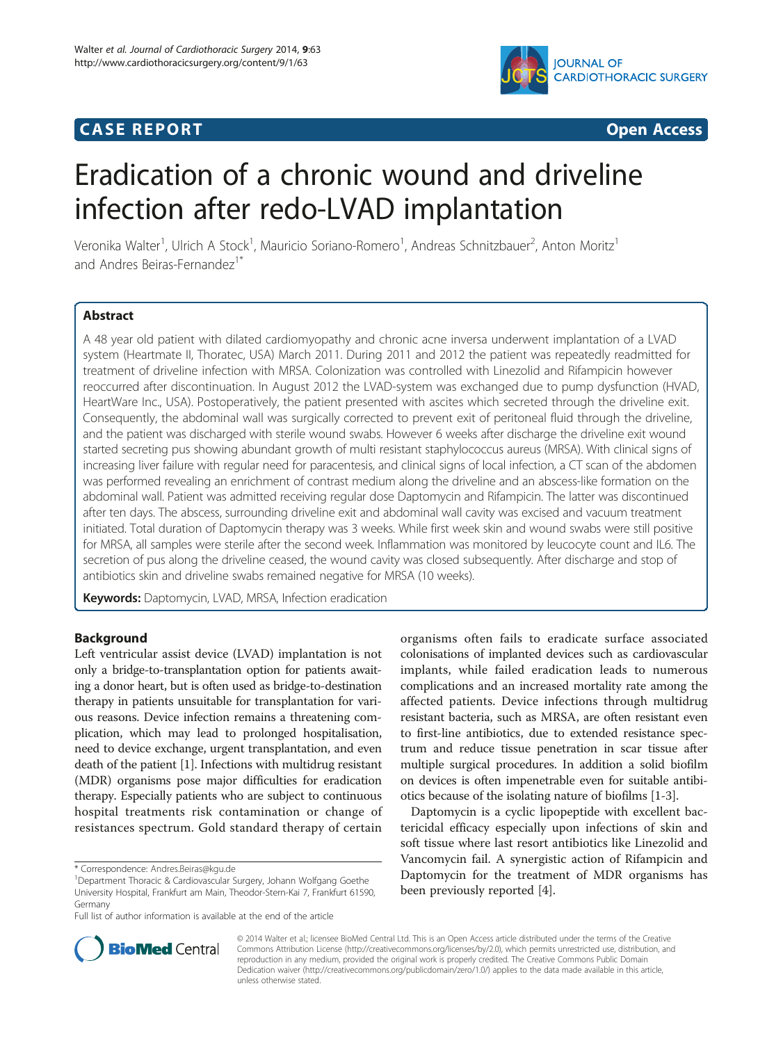## **CASE REPORT CASE REPORT CASE REPORT**



# Eradication of a chronic wound and driveline infection after redo-LVAD implantation

Veronika Walter<sup>1</sup>, Ulrich A Stock<sup>1</sup>, Mauricio Soriano-Romero<sup>1</sup>, Andreas Schnitzbauer<sup>2</sup>, Anton Moritz<sup>1</sup> and Andres Beiras-Fernandez<sup>1</sup>

## Abstract

A 48 year old patient with dilated cardiomyopathy and chronic acne inversa underwent implantation of a LVAD system (Heartmate II, Thoratec, USA) March 2011. During 2011 and 2012 the patient was repeatedly readmitted for treatment of driveline infection with MRSA. Colonization was controlled with Linezolid and Rifampicin however reoccurred after discontinuation. In August 2012 the LVAD-system was exchanged due to pump dysfunction (HVAD, HeartWare Inc., USA). Postoperatively, the patient presented with ascites which secreted through the driveline exit. Consequently, the abdominal wall was surgically corrected to prevent exit of peritoneal fluid through the driveline, and the patient was discharged with sterile wound swabs. However 6 weeks after discharge the driveline exit wound started secreting pus showing abundant growth of multi resistant staphylococcus aureus (MRSA). With clinical signs of increasing liver failure with regular need for paracentesis, and clinical signs of local infection, a CT scan of the abdomen was performed revealing an enrichment of contrast medium along the driveline and an abscess-like formation on the abdominal wall. Patient was admitted receiving regular dose Daptomycin and Rifampicin. The latter was discontinued after ten days. The abscess, surrounding driveline exit and abdominal wall cavity was excised and vacuum treatment initiated. Total duration of Daptomycin therapy was 3 weeks. While first week skin and wound swabs were still positive for MRSA, all samples were sterile after the second week. Inflammation was monitored by leucocyte count and IL6. The secretion of pus along the driveline ceased, the wound cavity was closed subsequently. After discharge and stop of antibiotics skin and driveline swabs remained negative for MRSA (10 weeks).

Keywords: Daptomycin, LVAD, MRSA, Infection eradication

## Background

Left ventricular assist device (LVAD) implantation is not only a bridge-to-transplantation option for patients awaiting a donor heart, but is often used as bridge-to-destination therapy in patients unsuitable for transplantation for various reasons. Device infection remains a threatening complication, which may lead to prolonged hospitalisation, need to device exchange, urgent transplantation, and even death of the patient [\[1\]](#page-3-0). Infections with multidrug resistant (MDR) organisms pose major difficulties for eradication therapy. Especially patients who are subject to continuous hospital treatments risk contamination or change of resistances spectrum. Gold standard therapy of certain

organisms often fails to eradicate surface associated colonisations of implanted devices such as cardiovascular implants, while failed eradication leads to numerous complications and an increased mortality rate among the affected patients. Device infections through multidrug resistant bacteria, such as MRSA, are often resistant even to first-line antibiotics, due to extended resistance spectrum and reduce tissue penetration in scar tissue after multiple surgical procedures. In addition a solid biofilm on devices is often impenetrable even for suitable antibiotics because of the isolating nature of biofilms [\[1-3](#page-3-0)].

Daptomycin is a cyclic lipopeptide with excellent bactericidal efficacy especially upon infections of skin and soft tissue where last resort antibiotics like Linezolid and Vancomycin fail. A synergistic action of Rifampicin and Daptomycin for the treatment of MDR organisms has been previously reported [[4](#page-3-0)].



© 2014 Walter et al.; licensee BioMed Central Ltd. This is an Open Access article distributed under the terms of the Creative Commons Attribution License [\(http://creativecommons.org/licenses/by/2.0\)](http://creativecommons.org/licenses/by/2.0), which permits unrestricted use, distribution, and reproduction in any medium, provided the original work is properly credited. The Creative Commons Public Domain Dedication waiver [\(http://creativecommons.org/publicdomain/zero/1.0/](http://creativecommons.org/publicdomain/zero/1.0/)) applies to the data made available in this article, unless otherwise stated.

<sup>\*</sup> Correspondence: [Andres.Beiras@kgu.de](mailto:Andres.Beiras@kgu.de) <sup>1</sup>

Department Thoracic & Cardiovascular Surgery, Johann Wolfgang Goethe University Hospital, Frankfurt am Main, Theodor-Stern-Kai 7, Frankfurt 61590, Germany

Full list of author information is available at the end of the article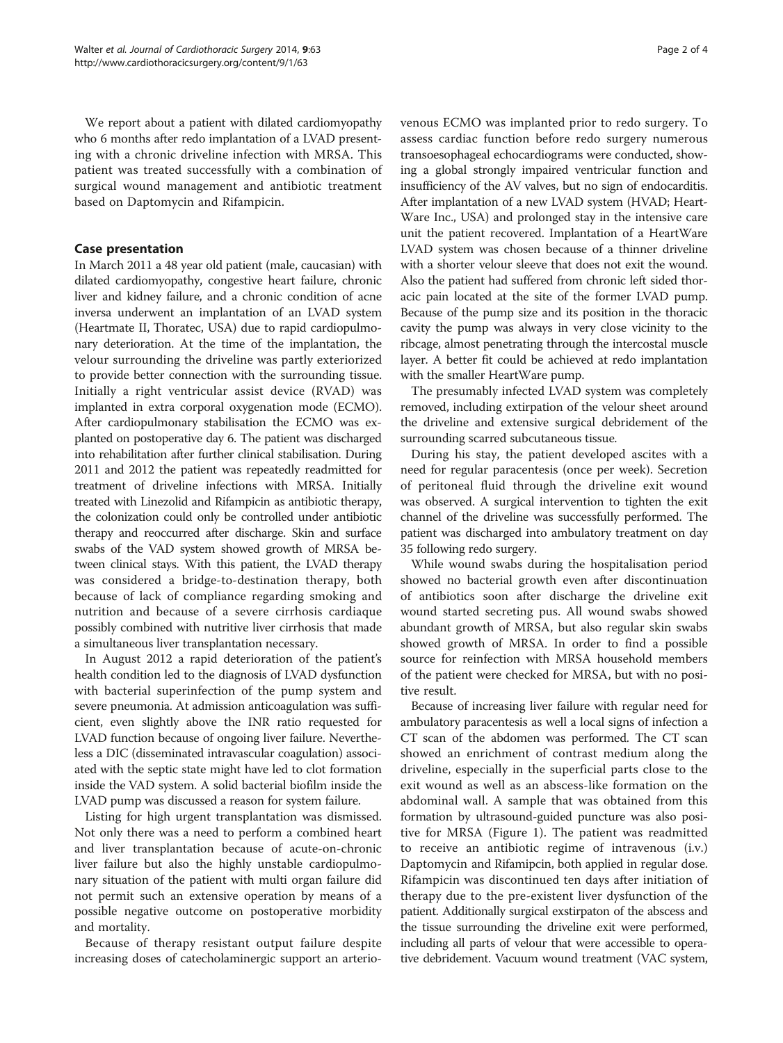We report about a patient with dilated cardiomyopathy who 6 months after redo implantation of a LVAD presenting with a chronic driveline infection with MRSA. This patient was treated successfully with a combination of surgical wound management and antibiotic treatment based on Daptomycin and Rifampicin.

## Case presentation

In March 2011 a 48 year old patient (male, caucasian) with dilated cardiomyopathy, congestive heart failure, chronic liver and kidney failure, and a chronic condition of acne inversa underwent an implantation of an LVAD system (Heartmate II, Thoratec, USA) due to rapid cardiopulmonary deterioration. At the time of the implantation, the velour surrounding the driveline was partly exteriorized to provide better connection with the surrounding tissue. Initially a right ventricular assist device (RVAD) was implanted in extra corporal oxygenation mode (ECMO). After cardiopulmonary stabilisation the ECMO was explanted on postoperative day 6. The patient was discharged into rehabilitation after further clinical stabilisation. During 2011 and 2012 the patient was repeatedly readmitted for treatment of driveline infections with MRSA. Initially treated with Linezolid and Rifampicin as antibiotic therapy, the colonization could only be controlled under antibiotic therapy and reoccurred after discharge. Skin and surface swabs of the VAD system showed growth of MRSA between clinical stays. With this patient, the LVAD therapy was considered a bridge-to-destination therapy, both because of lack of compliance regarding smoking and nutrition and because of a severe cirrhosis cardiaque possibly combined with nutritive liver cirrhosis that made a simultaneous liver transplantation necessary.

In August 2012 a rapid deterioration of the patient's health condition led to the diagnosis of LVAD dysfunction with bacterial superinfection of the pump system and severe pneumonia. At admission anticoagulation was sufficient, even slightly above the INR ratio requested for LVAD function because of ongoing liver failure. Nevertheless a DIC (disseminated intravascular coagulation) associated with the septic state might have led to clot formation inside the VAD system. A solid bacterial biofilm inside the LVAD pump was discussed a reason for system failure.

Listing for high urgent transplantation was dismissed. Not only there was a need to perform a combined heart and liver transplantation because of acute-on-chronic liver failure but also the highly unstable cardiopulmonary situation of the patient with multi organ failure did not permit such an extensive operation by means of a possible negative outcome on postoperative morbidity and mortality.

Because of therapy resistant output failure despite increasing doses of catecholaminergic support an arteriovenous ECMO was implanted prior to redo surgery. To assess cardiac function before redo surgery numerous transoesophageal echocardiograms were conducted, showing a global strongly impaired ventricular function and insufficiency of the AV valves, but no sign of endocarditis. After implantation of a new LVAD system (HVAD; Heart-Ware Inc., USA) and prolonged stay in the intensive care unit the patient recovered. Implantation of a HeartWare LVAD system was chosen because of a thinner driveline with a shorter velour sleeve that does not exit the wound. Also the patient had suffered from chronic left sided thoracic pain located at the site of the former LVAD pump. Because of the pump size and its position in the thoracic cavity the pump was always in very close vicinity to the ribcage, almost penetrating through the intercostal muscle layer. A better fit could be achieved at redo implantation with the smaller HeartWare pump.

The presumably infected LVAD system was completely removed, including extirpation of the velour sheet around the driveline and extensive surgical debridement of the surrounding scarred subcutaneous tissue.

During his stay, the patient developed ascites with a need for regular paracentesis (once per week). Secretion of peritoneal fluid through the driveline exit wound was observed. A surgical intervention to tighten the exit channel of the driveline was successfully performed. The patient was discharged into ambulatory treatment on day 35 following redo surgery.

While wound swabs during the hospitalisation period showed no bacterial growth even after discontinuation of antibiotics soon after discharge the driveline exit wound started secreting pus. All wound swabs showed abundant growth of MRSA, but also regular skin swabs showed growth of MRSA. In order to find a possible source for reinfection with MRSA household members of the patient were checked for MRSA, but with no positive result.

Because of increasing liver failure with regular need for ambulatory paracentesis as well a local signs of infection a CT scan of the abdomen was performed. The CT scan showed an enrichment of contrast medium along the driveline, especially in the superficial parts close to the exit wound as well as an abscess-like formation on the abdominal wall. A sample that was obtained from this formation by ultrasound-guided puncture was also positive for MRSA (Figure [1](#page-2-0)). The patient was readmitted to receive an antibiotic regime of intravenous (i.v.) Daptomycin and Rifamipcin, both applied in regular dose. Rifampicin was discontinued ten days after initiation of therapy due to the pre-existent liver dysfunction of the patient. Additionally surgical exstirpaton of the abscess and the tissue surrounding the driveline exit were performed, including all parts of velour that were accessible to operative debridement. Vacuum wound treatment (VAC system,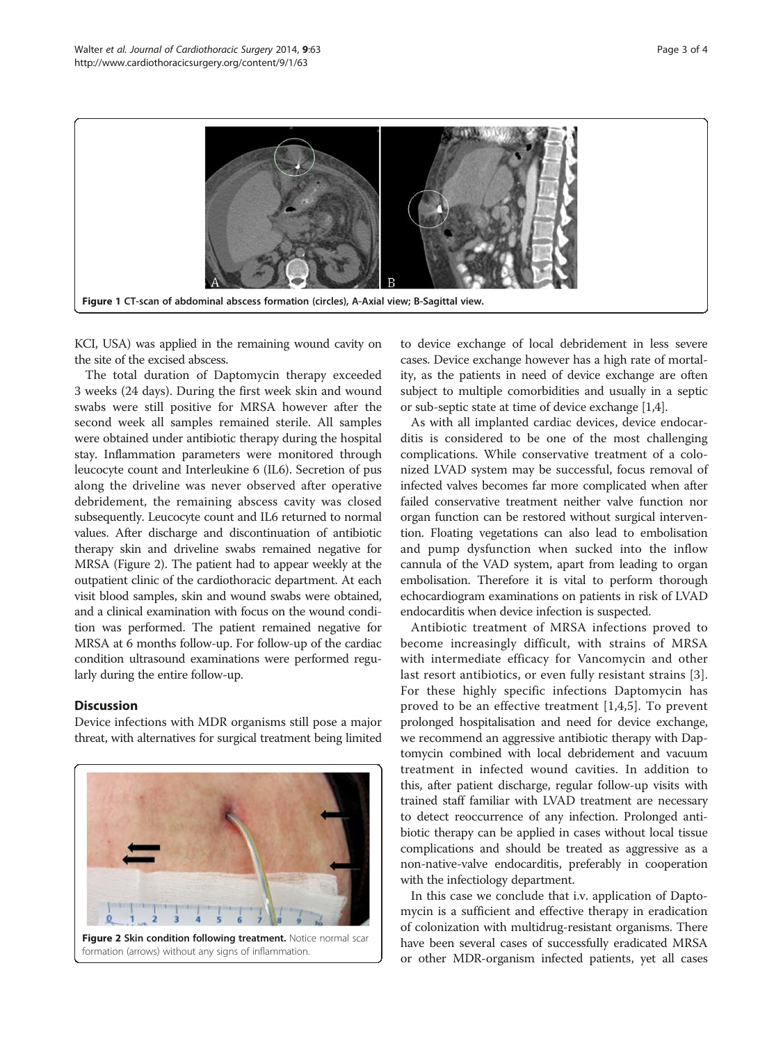<span id="page-2-0"></span>

KCI, USA) was applied in the remaining wound cavity on the site of the excised abscess.

The total duration of Daptomycin therapy exceeded 3 weeks (24 days). During the first week skin and wound swabs were still positive for MRSA however after the second week all samples remained sterile. All samples were obtained under antibiotic therapy during the hospital stay. Inflammation parameters were monitored through leucocyte count and Interleukine 6 (IL6). Secretion of pus along the driveline was never observed after operative debridement, the remaining abscess cavity was closed subsequently. Leucocyte count and IL6 returned to normal values. After discharge and discontinuation of antibiotic therapy skin and driveline swabs remained negative for MRSA (Figure 2). The patient had to appear weekly at the outpatient clinic of the cardiothoracic department. At each visit blood samples, skin and wound swabs were obtained, and a clinical examination with focus on the wound condition was performed. The patient remained negative for MRSA at 6 months follow-up. For follow-up of the cardiac condition ultrasound examinations were performed regularly during the entire follow-up.

## **Discussion**

Device infections with MDR organisms still pose a major threat, with alternatives for surgical treatment being limited



to device exchange of local debridement in less severe cases. Device exchange however has a high rate of mortality, as the patients in need of device exchange are often subject to multiple comorbidities and usually in a septic or sub-septic state at time of device exchange [\[1,4](#page-3-0)].

As with all implanted cardiac devices, device endocarditis is considered to be one of the most challenging complications. While conservative treatment of a colonized LVAD system may be successful, focus removal of infected valves becomes far more complicated when after failed conservative treatment neither valve function nor organ function can be restored without surgical intervention. Floating vegetations can also lead to embolisation and pump dysfunction when sucked into the inflow cannula of the VAD system, apart from leading to organ embolisation. Therefore it is vital to perform thorough echocardiogram examinations on patients in risk of LVAD endocarditis when device infection is suspected.

Antibiotic treatment of MRSA infections proved to become increasingly difficult, with strains of MRSA with intermediate efficacy for Vancomycin and other last resort antibiotics, or even fully resistant strains [[3](#page-3-0)]. For these highly specific infections Daptomycin has proved to be an effective treatment [[1,4,5](#page-3-0)]. To prevent prolonged hospitalisation and need for device exchange, we recommend an aggressive antibiotic therapy with Daptomycin combined with local debridement and vacuum treatment in infected wound cavities. In addition to this, after patient discharge, regular follow-up visits with trained staff familiar with LVAD treatment are necessary to detect reoccurrence of any infection. Prolonged antibiotic therapy can be applied in cases without local tissue complications and should be treated as aggressive as a non-native-valve endocarditis, preferably in cooperation with the infectiology department.

In this case we conclude that i.v. application of Daptomycin is a sufficient and effective therapy in eradication of colonization with multidrug-resistant organisms. There have been several cases of successfully eradicated MRSA or other MDR-organism infected patients, yet all cases